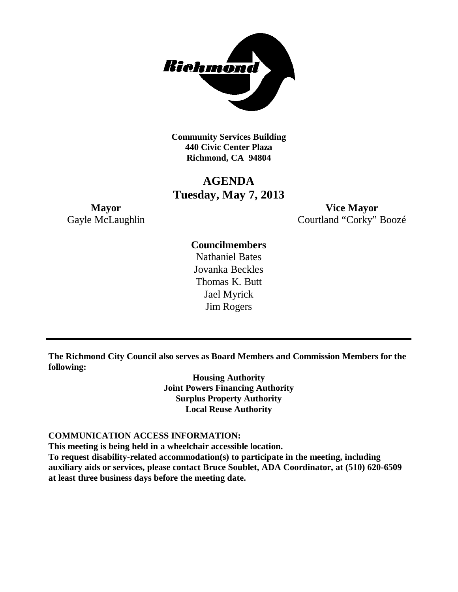

**Community Services Building 440 Civic Center Plaza Richmond, CA 94804**

# **AGENDA Tuesday, May 7, 2013**

**Mayor Vice Mayor** Gayle McLaughlin Courtland "Corky" Boozé

# **Councilmembers**

Nathaniel Bates Jovanka Beckles Thomas K. Butt Jael Myrick Jim Rogers

**The Richmond City Council also serves as Board Members and Commission Members for the following:**

> **Housing Authority Joint Powers Financing Authority Surplus Property Authority Local Reuse Authority**

#### **COMMUNICATION ACCESS INFORMATION:**

**This meeting is being held in a wheelchair accessible location.**

**To request disability-related accommodation(s) to participate in the meeting, including auxiliary aids or services, please contact Bruce Soublet, ADA Coordinator, at (510) 620-6509 at least three business days before the meeting date.**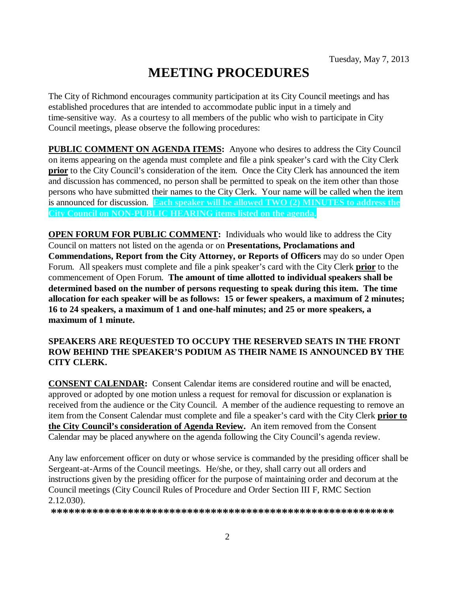# **MEETING PROCEDURES**

The City of Richmond encourages community participation at its City Council meetings and has established procedures that are intended to accommodate public input in a timely and time-sensitive way. As a courtesy to all members of the public who wish to participate in City Council meetings, please observe the following procedures:

**PUBLIC COMMENT ON AGENDA ITEMS:** Anyone who desires to address the City Council on items appearing on the agenda must complete and file a pink speaker's card with the City Clerk **prior** to the City Council's consideration of the item. Once the City Clerk has announced the item and discussion has commenced, no person shall be permitted to speak on the item other than those persons who have submitted their names to the City Clerk. Your name will be called when the item is announced for discussion. **Each speaker will be allowed TWO (2) MINUTES to address the City Council on NON-PUBLIC HEARING items listed on the agenda.**

**OPEN FORUM FOR PUBLIC COMMENT:** Individuals who would like to address the City Council on matters not listed on the agenda or on **Presentations, Proclamations and Commendations, Report from the City Attorney, or Reports of Officers** may do so under Open Forum. All speakers must complete and file a pink speaker's card with the City Clerk **prior** to the commencement of Open Forum. **The amount of time allotted to individual speakers shall be determined based on the number of persons requesting to speak during this item. The time allocation for each speaker will be as follows: 15 or fewer speakers, a maximum of 2 minutes; 16 to 24 speakers, a maximum of 1 and one-half minutes; and 25 or more speakers, a maximum of 1 minute.**

### **SPEAKERS ARE REQUESTED TO OCCUPY THE RESERVED SEATS IN THE FRONT ROW BEHIND THE SPEAKER'S PODIUM AS THEIR NAME IS ANNOUNCED BY THE CITY CLERK.**

**CONSENT CALENDAR:** Consent Calendar items are considered routine and will be enacted, approved or adopted by one motion unless a request for removal for discussion or explanation is received from the audience or the City Council. A member of the audience requesting to remove an item from the Consent Calendar must complete and file a speaker's card with the City Clerk **prior to the City Council's consideration of Agenda Review.** An item removed from the Consent Calendar may be placed anywhere on the agenda following the City Council's agenda review.

Any law enforcement officer on duty or whose service is commanded by the presiding officer shall be Sergeant-at-Arms of the Council meetings. He/she, or they, shall carry out all orders and instructions given by the presiding officer for the purpose of maintaining order and decorum at the Council meetings (City Council Rules of Procedure and Order Section III F, RMC Section 2.12.030).

**\*\*\*\*\*\*\*\*\*\*\*\*\*\*\*\*\*\*\*\*\*\*\*\*\*\*\*\*\*\*\*\*\*\*\*\*\*\*\*\*\*\*\*\*\*\*\*\*\*\*\*\*\*\*\*\*\*\***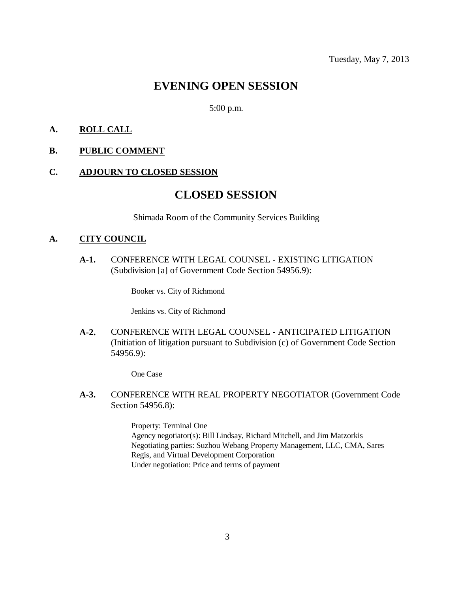# **EVENING OPEN SESSION**

#### 5:00 p.m.

### **A. ROLL CALL**

**B. PUBLIC COMMENT**

#### **C. ADJOURN TO CLOSED SESSION**

# **CLOSED SESSION**

Shimada Room of the Community Services Building

#### **A. CITY COUNCIL**

**A-1.** CONFERENCE WITH LEGAL COUNSEL - EXISTING LITIGATION (Subdivision [a] of Government Code Section 54956.9):

Booker vs. City of Richmond

Jenkins vs. City of Richmond

**A-2.** CONFERENCE WITH LEGAL COUNSEL - ANTICIPATED LITIGATION (Initiation of litigation pursuant to Subdivision (c) of Government Code Section 54956.9):

One Case

**A-3.** CONFERENCE WITH REAL PROPERTY NEGOTIATOR (Government Code Section 54956.8):

> Property: Terminal One Agency negotiator(s): Bill Lindsay, Richard Mitchell, and Jim Matzorkis Negotiating parties: Suzhou Webang Property Management, LLC, CMA, Sares Regis, and Virtual Development Corporation Under negotiation: Price and terms of payment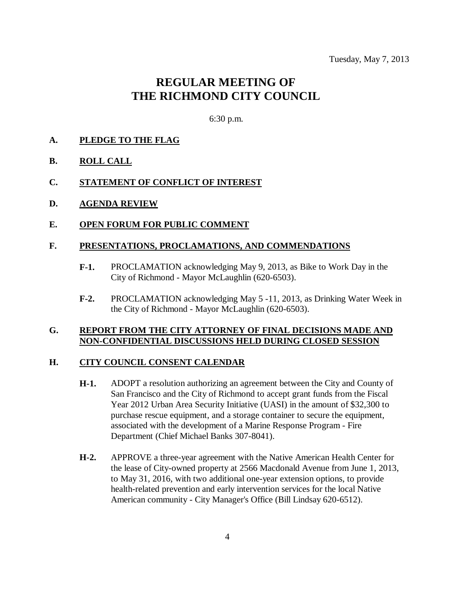# **REGULAR MEETING OF THE RICHMOND CITY COUNCIL**

6:30 p.m.

#### **A. PLEDGE TO THE FLAG**

- **B. ROLL CALL**
- **C. STATEMENT OF CONFLICT OF INTEREST**
- **D. AGENDA REVIEW**
- **E. OPEN FORUM FOR PUBLIC COMMENT**

#### **F. PRESENTATIONS, PROCLAMATIONS, AND COMMENDATIONS**

- **F-1.** PROCLAMATION acknowledging May 9, 2013, as Bike to Work Day in the City of Richmond - Mayor McLaughlin (620-6503).
- **F-2.** PROCLAMATION acknowledging May 5 -11, 2013, as Drinking Water Week in the City of Richmond - Mayor McLaughlin (620-6503).

#### **G. REPORT FROM THE CITY ATTORNEY OF FINAL DECISIONS MADE AND NON-CONFIDENTIAL DISCUSSIONS HELD DURING CLOSED SESSION**

#### **H. CITY COUNCIL CONSENT CALENDAR**

- **H-1.** ADOPT a resolution authorizing an agreement between the City and County of San Francisco and the City of Richmond to accept grant funds from the Fiscal Year 2012 Urban Area Security Initiative (UASI) in the amount of \$32,300 to purchase rescue equipment, and a storage container to secure the equipment, associated with the development of a Marine Response Program - Fire Department (Chief Michael Banks 307-8041).
- **H-2.** APPROVE a three-year agreement with the Native American Health Center for the lease of City-owned property at 2566 Macdonald Avenue from June 1, 2013, to May 31, 2016, with two additional one-year extension options, to provide health-related prevention and early intervention services for the local Native American community - City Manager's Office (Bill Lindsay 620-6512).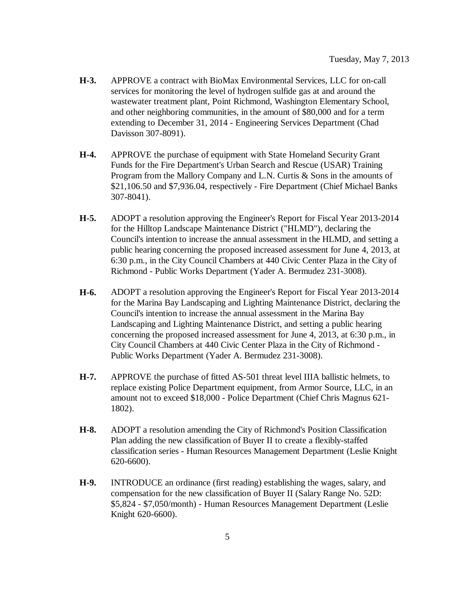- **H-3.** APPROVE a contract with BioMax Environmental Services, LLC for on-call services for monitoring the level of hydrogen sulfide gas at and around the wastewater treatment plant, Point Richmond, Washington Elementary School, and other neighboring communities, in the amount of \$80,000 and for a term extending to December 31, 2014 - Engineering Services Department (Chad Davisson 307-8091).
- **H-4.** APPROVE the purchase of equipment with State Homeland Security Grant Funds for the Fire Department's Urban Search and Rescue (USAR) Training Program from the Mallory Company and L.N. Curtis & Sons in the amounts of \$21,106.50 and \$7,936.04, respectively - Fire Department (Chief Michael Banks 307-8041).
- **H-5.** ADOPT a resolution approving the Engineer's Report for Fiscal Year 2013-2014 for the Hilltop Landscape Maintenance District ("HLMD"), declaring the Council's intention to increase the annual assessment in the HLMD, and setting a public hearing concerning the proposed increased assessment for June 4, 2013, at 6:30 p.m., in the City Council Chambers at 440 Civic Center Plaza in the City of Richmond - Public Works Department (Yader A. Bermudez 231-3008).
- **H-6.** ADOPT a resolution approving the Engineer's Report for Fiscal Year 2013-2014 for the Marina Bay Landscaping and Lighting Maintenance District, declaring the Council's intention to increase the annual assessment in the Marina Bay Landscaping and Lighting Maintenance District, and setting a public hearing concerning the proposed increased assessment for June 4, 2013, at 6:30 p.m., in City Council Chambers at 440 Civic Center Plaza in the City of Richmond - Public Works Department (Yader A. Bermudez 231-3008).
- **H-7.** APPROVE the purchase of fitted AS-501 threat level IIIA ballistic helmets, to replace existing Police Department equipment, from Armor Source, LLC, in an amount not to exceed \$18,000 - Police Department (Chief Chris Magnus 621- 1802).
- **H-8.** ADOPT a resolution amending the City of Richmond's Position Classification Plan adding the new classification of Buyer II to create a flexibly-staffed classification series - Human Resources Management Department (Leslie Knight 620-6600).
- **H-9.** INTRODUCE an ordinance (first reading) establishing the wages, salary, and compensation for the new classification of Buyer II (Salary Range No. 52D: \$5,824 - \$7,050/month) - Human Resources Management Department (Leslie Knight 620-6600).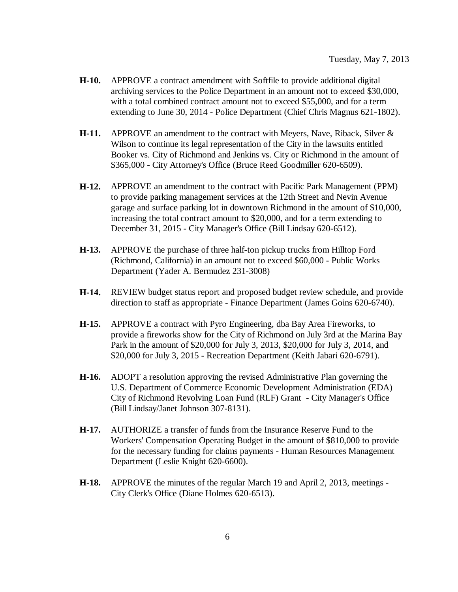- **H-10.** APPROVE a contract amendment with Softfile to provide additional digital archiving services to the Police Department in an amount not to exceed \$30,000, with a total combined contract amount not to exceed \$55,000, and for a term extending to June 30, 2014 - Police Department (Chief Chris Magnus 621-1802).
- **H-11.** APPROVE an amendment to the contract with Meyers, Nave, Riback, Silver & Wilson to continue its legal representation of the City in the lawsuits entitled Booker vs. City of Richmond and Jenkins vs. City or Richmond in the amount of \$365,000 - City Attorney's Office (Bruce Reed Goodmiller 620-6509).
- **H-12.** APPROVE an amendment to the contract with Pacific Park Management (PPM) to provide parking management services at the 12th Street and Nevin Avenue garage and surface parking lot in downtown Richmond in the amount of \$10,000, increasing the total contract amount to \$20,000, and for a term extending to December 31, 2015 - City Manager's Office (Bill Lindsay 620-6512).
- **H-13.** APPROVE the purchase of three half-ton pickup trucks from Hilltop Ford (Richmond, California) in an amount not to exceed \$60,000 - Public Works Department (Yader A. Bermudez 231-3008)
- **H-14.** REVIEW budget status report and proposed budget review schedule, and provide direction to staff as appropriate - Finance Department (James Goins 620-6740).
- **H-15.** APPROVE a contract with Pyro Engineering, dba Bay Area Fireworks, to provide a fireworks show for the City of Richmond on July 3rd at the Marina Bay Park in the amount of \$20,000 for July 3, 2013, \$20,000 for July 3, 2014, and \$20,000 for July 3, 2015 - Recreation Department (Keith Jabari 620-6791).
- **H-16.** ADOPT a resolution approving the revised Administrative Plan governing the U.S. Department of Commerce Economic Development Administration (EDA) City of Richmond Revolving Loan Fund (RLF) Grant - City Manager's Office (Bill Lindsay/Janet Johnson 307-8131).
- **H-17.** AUTHORIZE a transfer of funds from the Insurance Reserve Fund to the Workers' Compensation Operating Budget in the amount of \$810,000 to provide for the necessary funding for claims payments - Human Resources Management Department (Leslie Knight 620-6600).
- **H-18.** APPROVE the minutes of the regular March 19 and April 2, 2013, meetings City Clerk's Office (Diane Holmes 620-6513).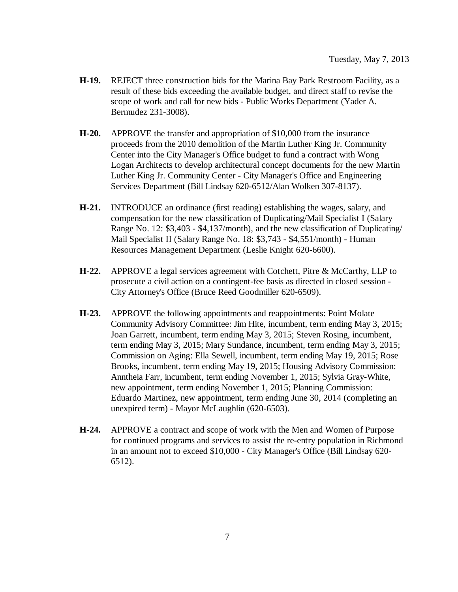- **H-19.** REJECT three construction bids for the Marina Bay Park Restroom Facility, as a result of these bids exceeding the available budget, and direct staff to revise the scope of work and call for new bids - Public Works Department (Yader A. Bermudez 231-3008).
- **H-20.** APPROVE the transfer and appropriation of \$10,000 from the insurance proceeds from the 2010 demolition of the Martin Luther King Jr. Community Center into the City Manager's Office budget to fund a contract with Wong Logan Architects to develop architectural concept documents for the new Martin Luther King Jr. Community Center - City Manager's Office and Engineering Services Department (Bill Lindsay 620-6512/Alan Wolken 307-8137).
- **H-21.** INTRODUCE an ordinance (first reading) establishing the wages, salary, and compensation for the new classification of Duplicating/Mail Specialist I (Salary Range No. 12: \$3,403 - \$4,137/month), and the new classification of Duplicating/ Mail Specialist II (Salary Range No. 18: \$3,743 - \$4,551/month) - Human Resources Management Department (Leslie Knight 620-6600).
- **H-22.** APPROVE a legal services agreement with Cotchett, Pitre & McCarthy, LLP to prosecute a civil action on a contingent-fee basis as directed in closed session - City Attorney's Office (Bruce Reed Goodmiller 620-6509).
- **H-23.** APPROVE the following appointments and reappointments: Point Molate Community Advisory Committee: Jim Hite, incumbent, term ending May 3, 2015; Joan Garrett, incumbent, term ending May 3, 2015; Steven Rosing, incumbent, term ending May 3, 2015; Mary Sundance, incumbent, term ending May 3, 2015; Commission on Aging: Ella Sewell, incumbent, term ending May 19, 2015; Rose Brooks, incumbent, term ending May 19, 2015; Housing Advisory Commission: Anntheia Farr, incumbent, term ending November 1, 2015; Sylvia Gray-White, new appointment, term ending November 1, 2015; Planning Commission: Eduardo Martinez, new appointment, term ending June 30, 2014 (completing an unexpired term) - Mayor McLaughlin (620-6503).
- **H-24.** APPROVE a contract and scope of work with the Men and Women of Purpose for continued programs and services to assist the re-entry population in Richmond in an amount not to exceed \$10,000 - City Manager's Office (Bill Lindsay 620- 6512).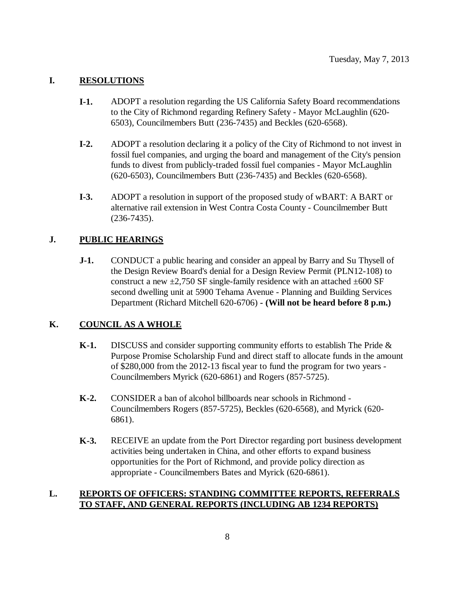### **I. RESOLUTIONS**

- **I-1.** ADOPT a resolution regarding the US California Safety Board recommendations to the City of Richmond regarding Refinery Safety - Mayor McLaughlin (620- 6503), Councilmembers Butt (236-7435) and Beckles (620-6568).
- **I-2.** ADOPT a resolution declaring it a policy of the City of Richmond to not invest in fossil fuel companies, and urging the board and management of the City's pension funds to divest from publicly-traded fossil fuel companies - Mayor McLaughlin (620-6503), Councilmembers Butt (236-7435) and Beckles (620-6568).
- **I-3.** ADOPT a resolution in support of the proposed study of wBART: A BART or alternative rail extension in West Contra Costa County - Councilmember Butt (236-7435).

### **J. PUBLIC HEARINGS**

**J-1.** CONDUCT a public hearing and consider an appeal by Barry and Su Thysell of the Design Review Board's denial for a Design Review Permit (PLN12-108) to construct a new  $\pm 2,750$  SF single-family residence with an attached  $\pm 600$  SF second dwelling unit at 5900 Tehama Avenue - Planning and Building Services Department (Richard Mitchell 620-6706) **- (Will not be heard before 8 p.m.)**

#### **K. COUNCIL AS A WHOLE**

- **K-1.** DISCUSS and consider supporting community efforts to establish The Pride & Purpose Promise Scholarship Fund and direct staff to allocate funds in the amount of \$280,000 from the 2012-13 fiscal year to fund the program for two years - Councilmembers Myrick (620-6861) and Rogers (857-5725).
- **K-2.** CONSIDER a ban of alcohol billboards near schools in Richmond Councilmembers Rogers (857-5725), Beckles (620-6568), and Myrick (620- 6861).
- **K-3.** RECEIVE an update from the Port Director regarding port business development activities being undertaken in China, and other efforts to expand business opportunities for the Port of Richmond, and provide policy direction as appropriate - Councilmembers Bates and Myrick (620-6861).

### **L. REPORTS OF OFFICERS: STANDING COMMITTEE REPORTS, REFERRALS TO STAFF, AND GENERAL REPORTS (INCLUDING AB 1234 REPORTS)**